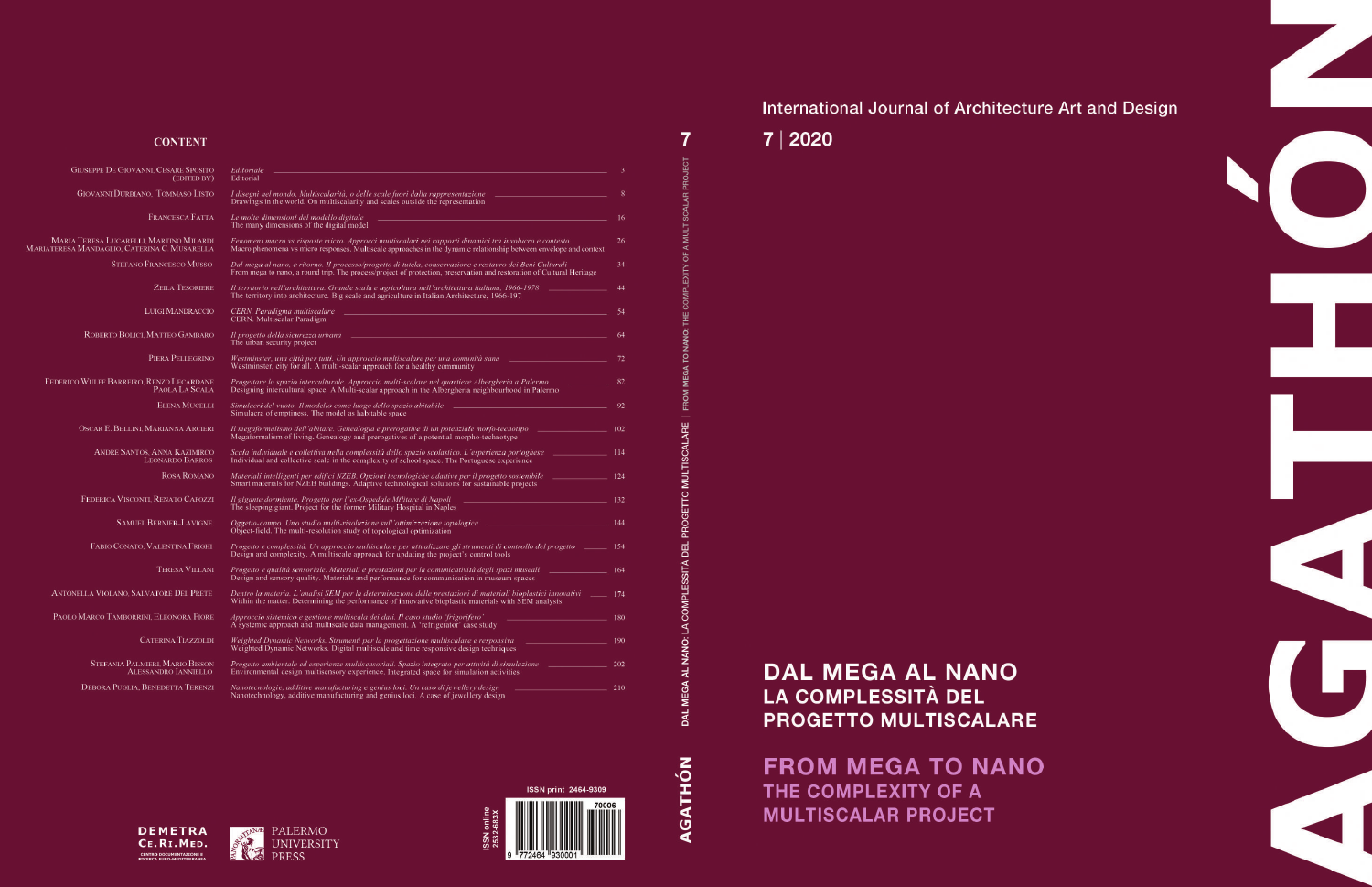## International Journal of Architecture Art and Design

## 7 | 2020

 $\overline{7}$ 

**AL** 

AGATHÓN

### **CONTENT**

MARIA I<br>MARIATERESA N

| <b>GIUSEPPE DE GIOVANNI, CESARE SPOSITO</b><br>(EDITED BY)                            | Editoriale <u>contracts</u> and the contract of the contract of the contract of the contract of the contract of the contract of the contract of the contract of the contract of the contract of the contract of the contract of the<br>Editorial                                                                               | 3   |
|---------------------------------------------------------------------------------------|--------------------------------------------------------------------------------------------------------------------------------------------------------------------------------------------------------------------------------------------------------------------------------------------------------------------------------|-----|
| <b>GIOVANNI DURBIANO, TOMMASO LISTO</b>                                               | I disegni nel mondo. Multiscalarità, o delle scale fuori dalla rappresentazione ______________________________<br>Drawings in the world. On multiscalarity and scales outside the representation                                                                                                                               | -8  |
| <b>FRANCESCA FATTA</b>                                                                | <u> 1999 - Johann Stein, mars and de Britain (b. 1989)</u><br>Le molte dimensioni del modello digitale<br>The many dimensions of the digital model                                                                                                                                                                             | 16  |
| MARIA TERESA LUCARELLI, MARTINO MILARDI<br>riateresa Mandaglio, Caterina C. Musarella | Fenomeni macro vs risposte micro. Approcci multiscalari nei rapporti dinamici tra involucro e contesto<br>Macro phenomena vs micro responses. Multiscale approaches in the dynamic relationship between envelope and context                                                                                                   | 26  |
| <b>STEFANO FRANCESCO MUSSO</b>                                                        | Dal mega al nano, e ritorno. Il processo/progetto di tutela, conservazione e restauro dei Beni Culturali<br>From mega to nano, a round trip. The process/project of protection, preservation and restoration of Cultural Heritage                                                                                              | 34  |
| <b>ZEILA TESORIERE</b>                                                                | Il territorio nell'architettura. Grande scala e agricoltura nell'architettura italiana, 1966-1978 [100] [200] [100] [100] [100] [100] [100] [200] [100] [100] [100] [100] [100] [100] [100] [100] [100] [100] [100] [100] [100<br>The territory into architecture. Big scale and agriculture in Italian Architecture, 1966-197 | 44  |
| <b>LUIGI MANDRACCIO</b>                                                               | <b>CERN.</b> Multiscalar Paradigm                                                                                                                                                                                                                                                                                              | -54 |
| ROBERTO BOLICI, MATTEO GAMBARO                                                        | Il progetto della sicurezza urbana e e contenuou controllato di controllato di controllato di controllato di c<br>The urban security project                                                                                                                                                                                   |     |
| PIERA PELLEGRINO                                                                      | Westminster, una città per tutti. Un approccio multiscalare per una comunità sana <b>contra della contra di la contra di la contra di la contra di la contra di la contra di la contra di la contra di la contra di la contra di</b><br>Westminster, city for all. A multi-scalar approach for a healthy community             |     |
| FEDERICO WULFF BARREIRO, RENZO LECARDANE<br>PAOLA LA SCALA                            | Designing intercultural space. A Multi-scalar approach in the Albergheria neighbourhood in Palermo                                                                                                                                                                                                                             |     |
| <b>ELENA MUCELLI</b>                                                                  | Simulacra of emptiness. The model as habitable space                                                                                                                                                                                                                                                                           |     |
| OSCAR E. BELLINI, MARIANNA ARCIERI                                                    | Il megaformalismo dell'abitare. Genealogia e prerogative di un potenziale morfo-tecnotipo ___________________ 102<br>Megaformalism of living. Genealogy and prerogatives of a potential morpho-technotype                                                                                                                      |     |
| <b>ANDRÈ SANTOS, ANNA KAZIMIRCO</b><br><b>LEONARDO BARROS</b>                         | Scala individuale e collettiva nella complessità dello spazio scolastico. L'esperienza portoghese e e collettiva nella complessità dello spazio scolastico. L'esperienza portoghese e collettiva nella completa della contra d<br>Individual and collective scale in the complexity of school space. The Portuguese experience |     |
| <b>ROSA ROMANO</b>                                                                    | Smart materials for NZEB buildings. Adaptive technological solutions for sustainable projects                                                                                                                                                                                                                                  |     |
| FEDERICA VISCONTI, RENATO CAPOZZI                                                     | Il gigante dormiente. Progetto per l'ex-Ospedale Militare di Napoli e alle controlle della controllation del 132<br>The sleeping giant. Project for the former Military Hospital in Naples                                                                                                                                     |     |
| <b>SAMUEL BERNIER-LAVIGNE</b>                                                         | Oggetto-campo. Uno studio multi-risoluzione sull'ottimizzazione topologica __________________________________144<br>Object-field. The multi-resolution study of topological optimization                                                                                                                                       |     |
| FABIO CONATO, VALENTINA FRIGHI                                                        | Progetto e complessità. Un approccio multiscalare per attualizzare gli strumenti di controllo del progetto _______ 154<br>Design and complexity. A multiscale approach for updating the project's control tools                                                                                                                |     |
| <b>TERESA VILLANI</b>                                                                 | Progetto e qualità sensoriale. Materiali e prestazioni per la comunicatività degli spazi museali electronomo del 164<br>Design and sensory quality. Materials and performance for communication in museum spaces                                                                                                               |     |
| ANTONELLA VIOLANO. SALVATORE DEL PRETE                                                | Dentro la materia. L'analisi SEM per la determinazione delle prestazioni di materiali bioplastici innovativi _______ 174<br>Within the matter. Determining the performance of innovative bioplastic materials with SEM analysis                                                                                                |     |
| PAOLO MARCO TAMBORRINI, ELEONORA FIORE                                                | Approccio sistemico e gestione multiscala dei dati. Il caso studio 'frigorifero'<br>A systemic approach and multiscale data management. A 'refrigerator' case study                                                                                                                                                            | 180 |
| <b>CATERINA TIAZZOLDI</b>                                                             | Weighted Dynamic Networks. Strumenti per la progettazione multiscalare e responsiva<br>Weighted Dynamic Networks. Digital multiscale and time responsive design techniques                                                                                                                                                     | 190 |
| <b>STEFANIA PALMIERI, MARIO BISSON</b><br><b>ALESSANDRO IANNIELLO</b>                 | Progetto ambientale ed esperienze multisensoriali. Spazio integrato per attività di simulazione e essente e es<br>Environmental design multisensory experience. Integrated space for simulation activities                                                                                                                     | 202 |
| <b>DEBORA PUGLIA, BENEDETTA TERENZI</b>                                               | Nanotecnologie, additive manufacturing e genius loci. Un caso di jewellery design<br><u> 1989 - Johann Barn, mars ann an t-A</u><br>Nanotechnology, additive manufacturing and genius loci. A case of jewellery design                                                                                                         | 210 |







DAL MEGA AL NANO LA COMPLESSITÀ DEL PROGETTO MULTISCALARE

**FROM MEGA TO NANO** THE COMPLEXITY OF A **MULTISCALAR PROJECT** 

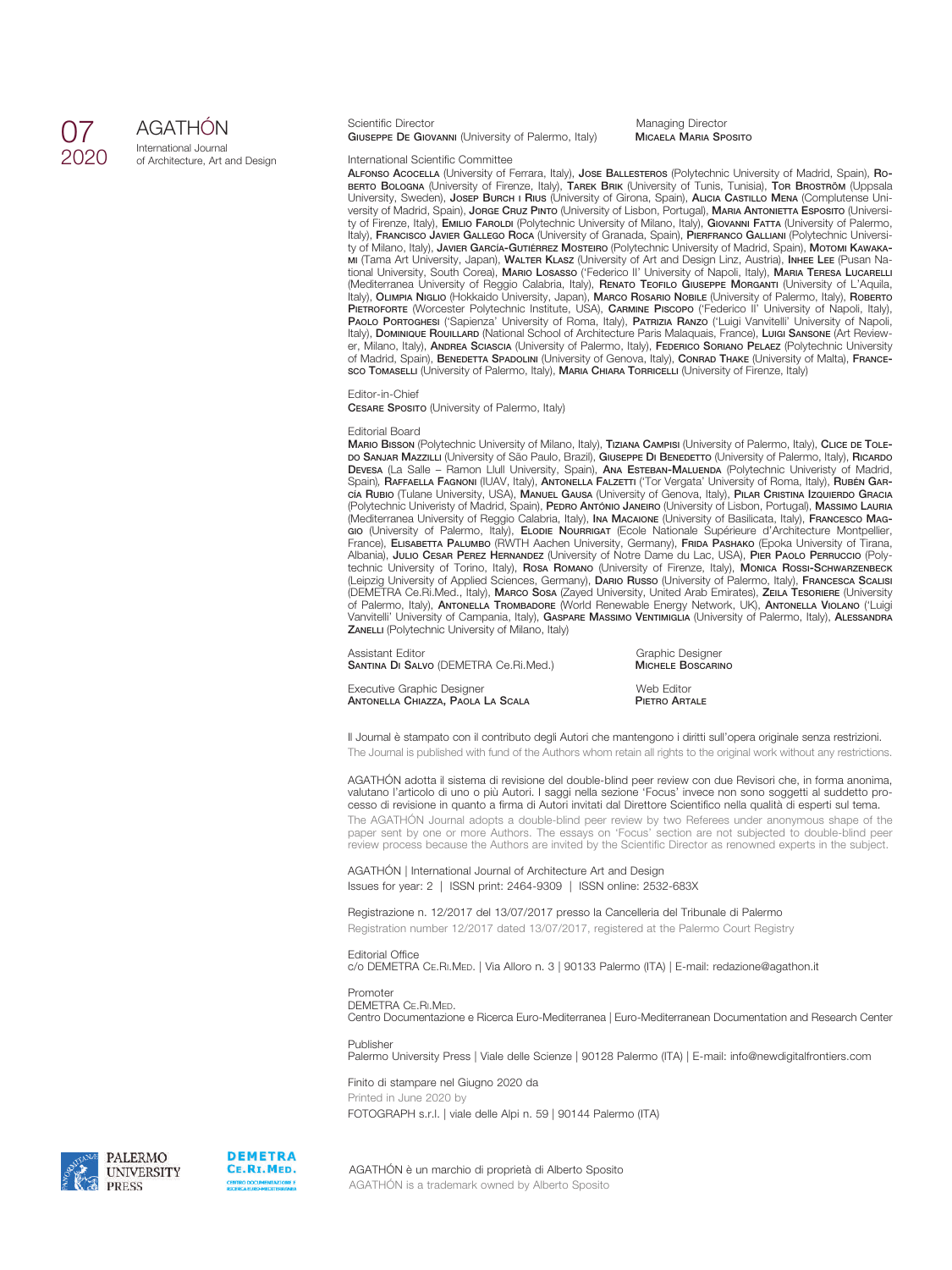## 07 2020

## AGATHÓN

International Journal of Architecture, Art and Design

Scientific Director **Managing Director**<br> **GIUSEPPE DE GIOVANNI** (University of Palermo, Italy) **MICAELA MARIA SPOSITO GIUSEPPE DE GIOVANNI** (University of Palermo, Italy)

#### International Scientific Committee

**ALFONSO ACOCELLA** (University of Ferrara, Italy), **JOSE BALLESTEROS** (Polytechnic University of Madrid, Spain), **RO-BERTO BOLOGNA** (University of Firenze, Italy), **TAREK BRIK** (University of Tunis, Tunisia), **TOR BROSTRÖM** (Uppsala University, Sweden), **JOSEP BURCH I RIUS** (University of Girona, Spain), **ALICIA CASTILLO MENA** (Complutense University of Madrid, Spain), **JORGE CRUZ PINTO** (University of Lisbon, Portugal), **MARIA ANTONIETTA ESPOSITO** (University of Firenze, Italy), **EMILIO FAROLDI** (Polytechnic University of Milano, Italy), **GIOVANNI FATTA** (University of Palermo, Italy), **FRANCISCO JAVIER GALLEGO ROCA** (University of Granada, Spain), **PIERFRANCO GALLIANI** (Polytechnic University of Milano, Italy), **JAVIER GARCÍA-GUTIÉRREZ MOSTEIRO** (Polytechnic University of Madrid, Spain), **MOTOMI KAWAKA-MI** (Tama Art University, Japan), **WALTER KLASZ** (University of Art and Design Linz, Austria), **INHEE LEE** (Pusan National University, South Corea), **MARIO LOSASSO** ('Federico II' University of Napoli, Italy), **MARIA TERESA LUCARELLI** (Mediterranea University of Reggio Calabria, Italy), **RENATO TEOFILO GIUSEPPE MORGANTI** (University of L'Aquila, Italy), **OLIMPIA NIGLIO** (Hokkaido University, Japan), **MARCO ROSARIO NOBILE** (University of Palermo, Italy), **ROBERTO PIETROFORTE** (Worcester Polytechnic Institute, USA), **CARMINE PISCOPO** ('Federico II' University of Napoli, Italy), **PAOLO PORTOGHESI** ('Sapienza' University of Roma, Italy), **PATRIZIA RANZO** ('Luigi Vanvitelli' University of Napoli, Italy), **DOMINIQUE ROUILLARD** (National School of Architecture Paris Malaquais, France), **LUIGI SANSONE** (Art Reviewer, Milano, Italy), **ANDREA SCIASCIA** (University of Palermo, Italy), **FEDERICO SORIANO PELAEZ** (Polytechnic University of Madrid, Spain), **BENEDETTA SPADOLINI** (University of Genova, Italy), **CONRAD THAKE** (University of Malta), **FRANCE-SCO TOMASELLI** (University of Palermo, Italy), **MARIA CHIARA TORRICELLI** (University of Firenze, Italy)

#### Editor-in-Chief

**CESARE SPOSITO** (University of Palermo, Italy)

#### Editorial Board

**MARIO BISSON** (Polytechnic University of Milano, Italy), **TIZIANA CAMPISI** (University of Palermo, Italy), **CLICE DE TOLE-DO SANJAR MAZZILLI** (University of São Paulo, Brazil), **GIUSEPPE DI BENEDETTO** (University of Palermo, Italy), **RICARDO DEVESA** (La Salle – Ramon Llull University, Spain), **ANA ESTEBAN-MALUENDA** (Polytechnic Univeristy of Madrid, Spain), **RAFFAELLA FAGNONI** (IUAV, Italy), **ANTONELLA FALZETTI** ('Tor Vergata' University of Roma, Italy), **RUBÉN GAR-CÍA RUBIO** (Tulane University, USA), **MANUEL GAUSA** (University of Genova, Italy), **PILAR CRISTINA IZQUIERDO GRACIA** (Polytechnic Univeristy of Madrid, Spain), **PEDRO ANTÓNIO JANEIRO** (University of Lisbon, Portugal), **MASSIMO LAURIA** (Mediterranea University of Reggio Calabria, Italy), **INA MACAIONE** (University of Basilicata, Italy), **FRANCESCO MAG-GIO** (University of Palermo, Italy), **ELODIE NOURRIGAT** (Ecole Nationale Supérieure d'Architecture Montpellier, France), **ELISABETTA PALUMBO** (RWTH Aachen University, Germany), **FRIDA PASHAKO** (Epoka University of Tirana, Albania), **JULIO CESAR PEREZ HERNANDEZ** (University of Notre Dame du Lac, USA), **PIER PAOLO PERRUCCIO** (Polytechnic University of Torino, Italy), **ROSA ROMANO** (University of Firenze, Italy), **MONICA ROSSI-SCHWARZENBECK** (Leipzig University of Applied Sciences, Germany), **DARIO RUSSO** (University of Palermo, Italy), **FRANCESCA SCALISI** (DEMETRA Ce.Ri.Med., Italy), **MARCO SOSA** (Zayed University, United Arab Emirates), **ZEILA TESORIERE** (University of Palermo, Italy), **ANTONELLA TROMBADORE** (World Renewable Energy Network, UK), **ANTONELLA VIOLANO** ('Luigi Vanvitelli' University of Campania, Italy), **GASPARE MASSIMO VENTIMIGLIA** (University of Palermo, Italy), **ALESSANDRA ZANELLI** (Polytechnic University of Milano, Italy)

Assistant Editor<br> **SANTINA DI SALVO** (DEMETRA Ce.Ri.Med.) **CANTINA DI SALVO (DEMETRA Ce.Ri.Med.**) **CANTINA MICHELE BOSCARINO SANTINA DI SALVO** (DEMETRA Ce.Ri.Med.)

Executive Graphic Designer<br> **ANTONELLA CHIAZZA, PAOLA LA SCALA**<br> **PIETRO ARTALE ANTONELLA CHIAZZA, PAOLA LA SCALA** 

Il Journal è stampato con il contributo degli Autori che mantengono i diritti sull'opera originale senza restrizioni. The Journal is published with fund of the Authors whom retain all rights to the original work without any restrictions.

AGATHÓN adotta il sistema di revisione del double-blind peer review con due Revisori che, in forma anonima, valutano l'articolo di uno o più Autori. I saggi nella sezione 'Focus' invece non sono soggetti al suddetto processo di revisione in quanto a firma di Autori invitati dal Direttore Scientifico nella qualità di esperti sul tema. The AGATHÓN Journal adopts a double-blind peer review by two Referees under anonymous shape of the paper sent by one or more Authors. The essays on 'Focus' section are not subjected to double-blind peer review process because the Authors are invited by the Scientific Director as renowned experts in the subject.

AGATHÓN | International Journal of Architecture Art and Design Issues for year: 2 | ISSN print: 2464-9309 | ISSN online: 2532-683X

Registrazione n. 12/2017 del 13/07/2017 presso la Cancelleria del Tribunale di Palermo Registration number 12/2017 dated 13/07/2017, registered at the Palermo Court Registry

Editorial Office c/o DEMETRA CE.RI.MED. | Via Alloro n. 3 | 90133 Palermo (ITA) | E-mail: redazione@agathon.it

#### Promoter

DEMETRA CE.RI.MED. Centro Documentazione e Ricerca Euro-Mediterranea | Euro-Mediterranean Documentation and Research Center

#### Publisher

Palermo University Press | Viale delle Scienze | 90128 Palermo (ITA) | E-mail: info@newdigitalfrontiers.com

Finito di stampare nel Giugno 2020 da Printed in June 2020 by FOTOGRAPH s.r.l. | viale delle Alpi n. 59 | 90144 Palermo (ITA)

PALERMO **UNIVERSITY PRESS** 



AGATHÓN è un marchio di proprietà di Alberto Sposito AGATHÓN is a trademark owned by Alberto Sposito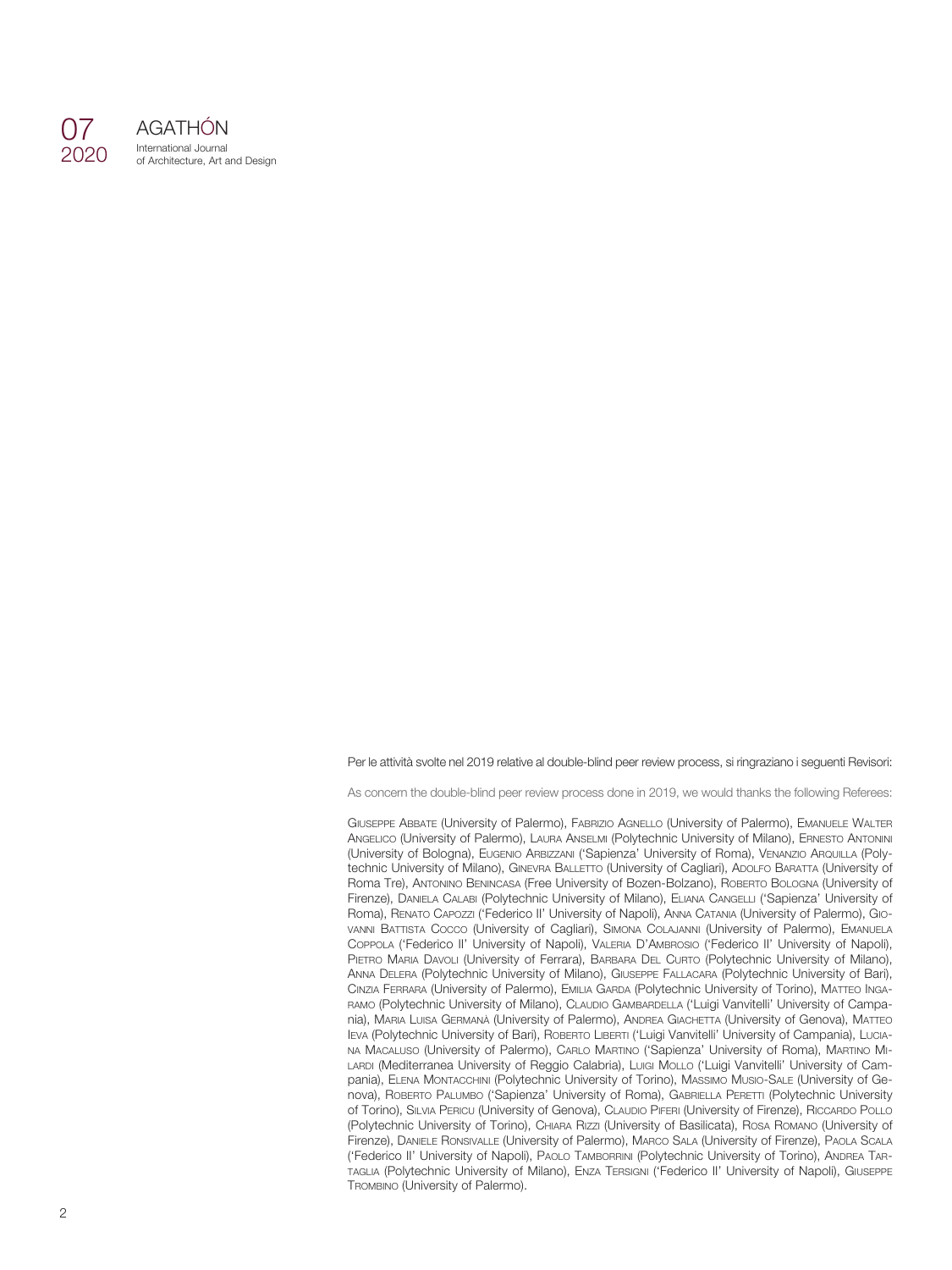

AGATHÓN International Journal of Architecture, Art and Design

Per le attività svolte nel 2019 relative al double-blind peer review process, si ringraziano i seguenti Revisori:

As concern the double-blind peer review process done in 2019, we would thanks the following Referees:

GIUSEPPE ABBATE (University of Palermo), FABRIZIO AGNELLO (University of Palermo), EMANUELE WALTER ANGELICO (University of Palermo), LAURA ANSELMI (Polytechnic University of Milano), ERNESTO ANTONINI (University of Bologna), EUGENIO ARBIZZANI ('Sapienza' University of Roma), VENANZIO ARQUILLA (Polytechnic University of Milano), GINEVRA BALLETTO (University of Cagliari), ADOLFO BARATTA (University of Roma Tre), ANTONINO BENINCASA (Free University of Bozen-Bolzano), ROBERTO BOLOGNA (University of Firenze), DANIELA CALABI (Polytechnic University of Milano), ELIANA CANGELLI ('Sapienza' University of Roma), RENATO CAPOZZI ('Federico II' University of Napoli), ANNA CATANIA (University of Palermo), GIO-VANNI BATTISTA COCCO (University of Cagliari), SIMONA COLAJANNI (University of Palermo), EMANUELA COPPOLA ('Federico II' University of Napoli), VALERIA D'AMBROSIO ('Federico II' University of Napoli), PIETRO MARIA DAVOLI (University of Ferrara), BARBARA DEL CURTO (Polytechnic University of Milano), ANNA DELERA (Polytechnic University of Milano), GIUSEPPE FALLACARA (Polytechnic University of Bari), CINZIA FERRARA (University of Palermo), EMILIA GARDA (Polytechnic University of Torino), MATTEO INGA-RAMO (Polytechnic University of Milano), CLAUDIO GAMBARDELLA ('Luigi Vanvitelli' University of Campania), MARIA LUISA GERMANÀ (University of Palermo), ANDREA GIACHETTA (University of Genova), MATTEO IEVA (Polytechnic University of Bari), ROBERTO LIBERTI ('Luigi Vanvitelli' University of Campania), LUCIA-NA MACALUSO (University of Palermo), CARLO MARTINO ('Sapienza' University of Roma), MARTINO MI-LARDI (Mediterranea University of Reggio Calabria), Luigi Mollo ('Luigi Vanvitelli' University of Campania), ELENA MONTACCHINI (Polytechnic University of Torino), MASSIMO MUSIO-SALE (University of Genova), ROBERTO PALUMBO ('Sapienza' University of Roma), GABRIELLA PERETTI (Polytechnic University of Torino), SILVIA PERICU (University of Genova), CLAUDIO PIFERI (University of Firenze), RICCARDO POLLO (Polytechnic University of Torino), CHIARA RIZZI (University of Basilicata), ROSA ROMANO (University of Firenze), DANIELE RONSIVALLE (University of Palermo), MARCO SALA (University of Firenze), PAOLA SCALA ('Federico II' University of Napoli), PAOLO TAMBORRINI (Polytechnic University of Torino), ANDREA TAR-TAGLIA (Polytechnic University of Milano), ENZA TERSIGNI ('Federico II' University of Napoli), GIUSEPPE TROMBINO (University of Palermo).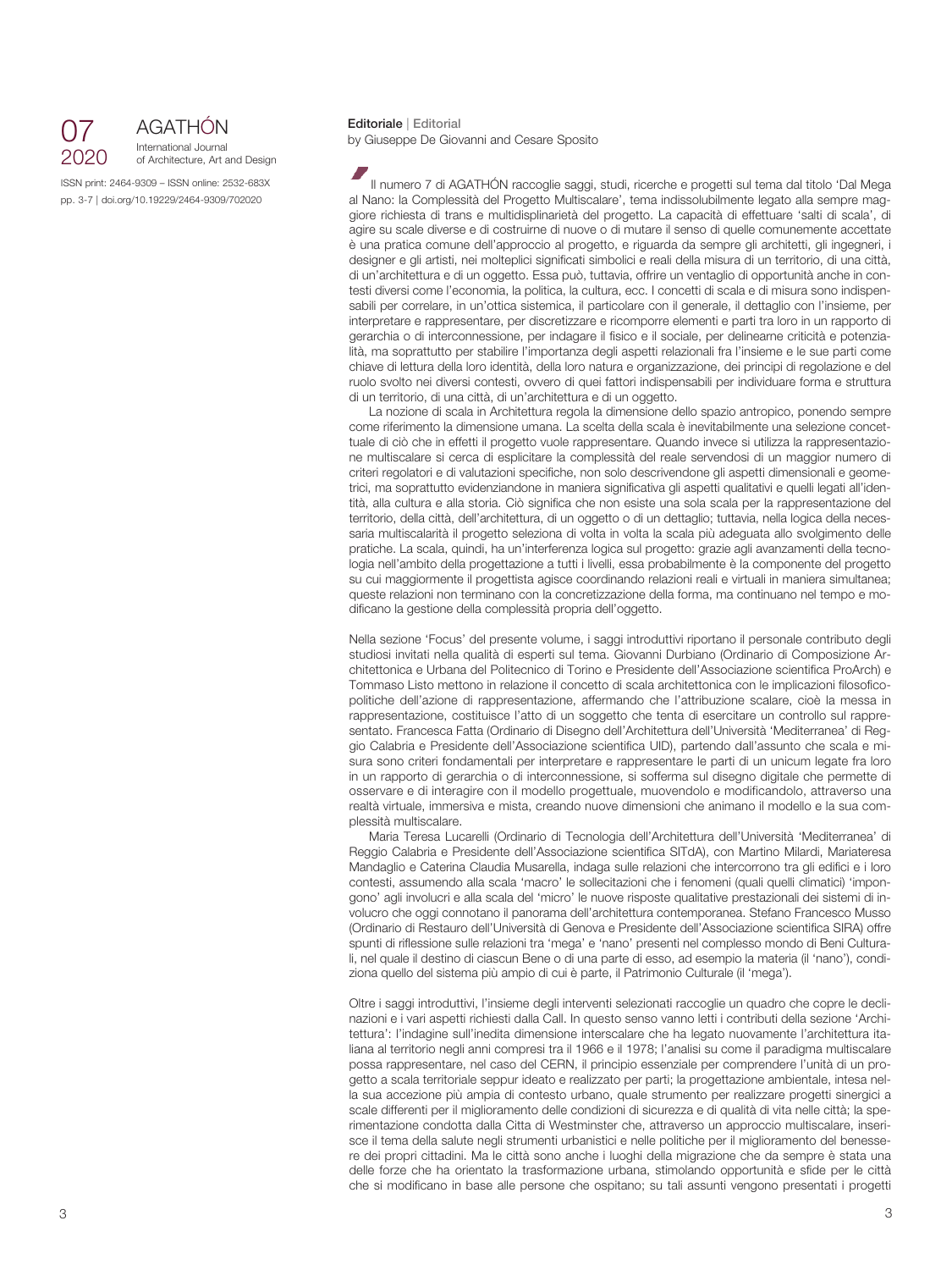

### **Editoriale** <sup>|</sup> **Editorial** AGATHÓN International Journal

of Architecture, Art and Design

ISSN print: 2464-9309 – ISSN online: 2532-683X pp. 3-7 | doi.org/10.19229/2464-9309/702020

by Giuseppe De Giovanni and Cesare Sposito

Il numero 7 di AGATHÓN raccoglie saggi, studi, ricerche e progetti sul tema dal titolo 'Dal Mega al Nano: la Complessità del Progetto Multiscalare', tema indissolubilmente legato alla sempre maggiore richiesta di trans e multidisplinarietà del progetto. La capacità di effettuare 'salti di scala', di agire su scale diverse e di costruirne di nuove o di mutare il senso di quelle comunemente accettate è una pratica comune dell'approccio al progetto, e riguarda da sempre gli architetti, gli ingegneri, i designer e gli artisti, nei molteplici significati simbolici e reali della misura di un territorio, di una città, di un'architettura e di un oggetto. Essa può, tuttavia, offrire un ventaglio di opportunità anche in contesti diversi come l'economia, la politica, la cultura, ecc. I concetti di scala e di misura sono indispensabili per correlare, in un'ottica sistemica, il particolare con il generale, il dettaglio con l'insieme, per interpretare e rappresentare, per discretizzare e ricomporre elementi e parti tra loro in un rapporto di gerarchia o di interconnessione, per indagare il fisico e il sociale, per delinearne criticità e potenzialità, ma soprattutto per stabilire l'importanza degli aspetti relazionali fra l'insieme e le sue parti come chiave di lettura della loro identità, della loro natura e organizzazione, dei principi di regolazione e del ruolo svolto nei diversi contesti, ovvero di quei fattori indispensabili per individuare forma e struttura di un territorio, di una città, di un'architettura e di un oggetto.

La nozione di scala in Architettura regola la dimensione dello spazio antropico, ponendo sempre come riferimento la dimensione umana. La scelta della scala è inevitabilmente una selezione concettuale di ciò che in effetti il progetto vuole rappresentare. Quando invece si utilizza la rappresentazione multiscalare si cerca di esplicitare la complessità del reale servendosi di un maggior numero di criteri regolatori e di valutazioni specifiche, non solo descrivendone gli aspetti dimensionali e geometrici, ma soprattutto evidenziandone in maniera significativa gli aspetti qualitativi e quelli legati all'identità, alla cultura e alla storia. Ciò significa che non esiste una sola scala per la rappresentazione del territorio, della città, dell'architettura, di un oggetto o di un dettaglio; tuttavia, nella logica della necessaria multiscalarità il progetto seleziona di volta in volta la scala più adeguata allo svolgimento delle pratiche. La scala, quindi, ha un'interferenza logica sul progetto: grazie agli avanzamenti della tecnologia nell'ambito della progettazione a tutti i livelli, essa probabilmente è la componente del progetto su cui maggiormente il progettista agisce coordinando relazioni reali e virtuali in maniera simultanea; queste relazioni non terminano con la concretizzazione della forma, ma continuano nel tempo e modificano la gestione della complessità propria dell'oggetto.

Nella sezione 'Focus' del presente volume, i saggi introduttivi riportano il personale contributo degli studiosi invitati nella qualità di esperti sul tema. Giovanni Durbiano (Ordinario di Composizione Architettonica e Urbana del Politecnico di Torino e Presidente dell'Associazione scientifica ProArch) e Tommaso Listo mettono in relazione il concetto di scala architettonica con le implicazioni filosoficopolitiche dell'azione di rappresentazione, affermando che l'attribuzione scalare, cioè la messa in rappresentazione, costituisce l'atto di un soggetto che tenta di esercitare un controllo sul rappresentato. Francesca Fatta (Ordinario di Disegno dell'Architettura dell'Università 'Mediterranea' di Reggio Calabria e Presidente dell'Associazione scientifica UID), partendo dall'assunto che scala e misura sono criteri fondamentali per interpretare e rappresentare le parti di un unicum legate fra loro in un rapporto di gerarchia o di interconnessione, si sofferma sul disegno digitale che permette di osservare e di interagire con il modello progettuale, muovendolo e modificandolo, attraverso una realtà virtuale, immersiva e mista, creando nuove dimensioni che animano il modello e la sua complessità multiscalare.

Maria Teresa Lucarelli (Ordinario di Tecnologia dell'Architettura dell'Università 'Mediterranea' di Reggio Calabria e Presidente dell'Associazione scientifica SITdA), con Martino Milardi, Mariateresa Mandaglio e Caterina Claudia Musarella, indaga sulle relazioni che intercorrono tra gli edifici e i loro contesti, assumendo alla scala 'macro' le sollecitazioni che i fenomeni (quali quelli climatici) 'impongono' agli involucri e alla scala del 'micro' le nuove risposte qualitative prestazionali dei sistemi di involucro che oggi connotano il panorama dell'architettura contemporanea. Stefano Francesco Musso (Ordinario di Restauro dell'Università di Genova e Presidente dell'Associazione scientifica SIRA) offre spunti di riflessione sulle relazioni tra 'mega' e 'nano' presenti nel complesso mondo di Beni Culturali, nel quale il destino di ciascun Bene o di una parte di esso, ad esempio la materia (il 'nano'), condiziona quello del sistema più ampio di cui è parte, il Patrimonio Culturale (il 'mega').

Oltre i saggi introduttivi, l'insieme degli interventi selezionati raccoglie un quadro che copre le declinazioni e i vari aspetti richiesti dalla Call. In questo senso vanno letti i contributi della sezione 'Architettura': l'indagine sull'inedita dimensione interscalare che ha legato nuovamente l'architettura italiana al territorio negli anni compresi tra il 1966 e il 1978; l'analisi su come il paradigma multiscalare possa rappresentare, nel caso del CERN, il principio essenziale per comprendere l'unità di un progetto a scala territoriale seppur ideato e realizzato per parti; la progettazione ambientale, intesa nella sua accezione più ampia di contesto urbano, quale strumento per realizzare progetti sinergici a scale differenti per il miglioramento delle condizioni di sicurezza e di qualità di vita nelle città; la sperimentazione condotta dalla Citta di Westminster che, attraverso un approccio multiscalare, inserisce il tema della salute negli strumenti urbanistici e nelle politiche per il miglioramento del benessere dei propri cittadini. Ma le città sono anche i luoghi della migrazione che da sempre è stata una delle forze che ha orientato la trasformazione urbana, stimolando opportunità e sfide per le città che si modificano in base alle persone che ospitano; su tali assunti vengono presentati i progetti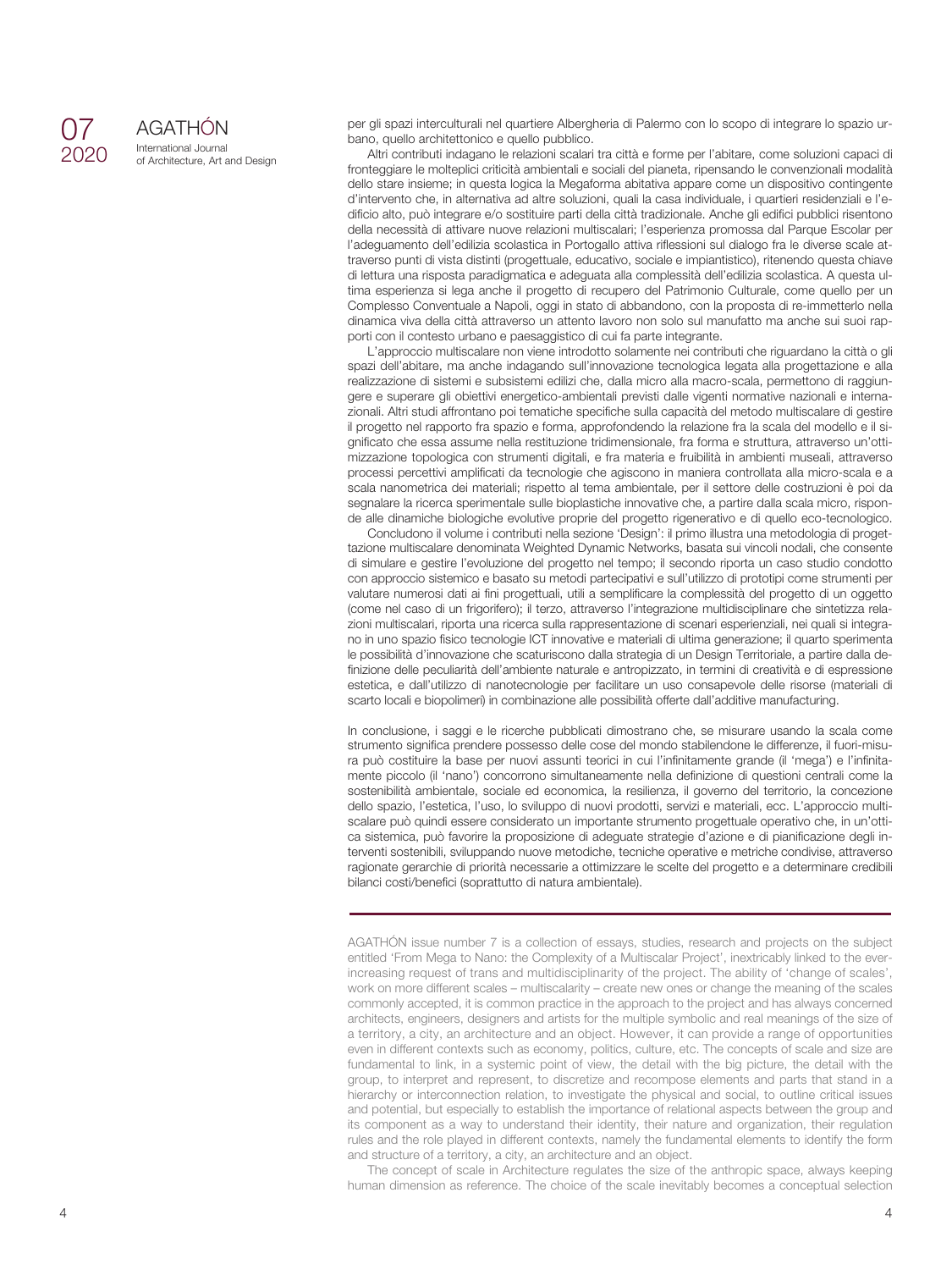## 07 2020

AGATHÓN International Journal of Architecture, Art and Design per gli spazi interculturali nel quartiere Albergheria di Palermo con lo scopo di integrare lo spazio urbano, quello architettonico e quello pubblico.

Altri contributi indagano le relazioni scalari tra città e forme per l'abitare, come soluzioni capaci di fronteggiare le molteplici criticità ambientali e sociali del pianeta, ripensando le convenzionali modalità dello stare insieme; in questa logica la Megaforma abitativa appare come un dispositivo contingente d'intervento che, in alternativa ad altre soluzioni, quali la casa individuale, i quartieri residenziali e l'edificio alto, può integrare e/o sostituire parti della città tradizionale. Anche gli edifici pubblici risentono della necessità di attivare nuove relazioni multiscalari; l'esperienza promossa dal Parque Escolar per l'adeguamento dell'edilizia scolastica in Portogallo attiva riflessioni sul dialogo fra le diverse scale attraverso punti di vista distinti (progettuale, educativo, sociale e impiantistico), ritenendo questa chiave di lettura una risposta paradigmatica e adeguata alla complessità dell'edilizia scolastica. A questa ultima esperienza si lega anche il progetto di recupero del Patrimonio Culturale, come quello per un Complesso Conventuale a Napoli, oggi in stato di abbandono, con la proposta di re-immetterlo nella dinamica viva della città attraverso un attento lavoro non solo sul manufatto ma anche sui suoi rapporti con il contesto urbano e paesaggistico di cui fa parte integrante.

L'approccio multiscalare non viene introdotto solamente nei contributi che riguardano la città o gli spazi dell'abitare, ma anche indagando sull'innovazione tecnologica legata alla progettazione e alla realizzazione di sistemi e subsistemi edilizi che, dalla micro alla macro-scala, permettono di raggiungere e superare gli obiettivi energetico-ambientali previsti dalle vigenti normative nazionali e internazionali. Altri studi affrontano poi tematiche specifiche sulla capacità del metodo multiscalare di gestire il progetto nel rapporto fra spazio e forma, approfondendo la relazione fra la scala del modello e il significato che essa assume nella restituzione tridimensionale, fra forma e struttura, attraverso un'ottimizzazione topologica con strumenti digitali, e fra materia e fruibilità in ambienti museali, attraverso processi percettivi amplificati da tecnologie che agiscono in maniera controllata alla micro-scala e a scala nanometrica dei materiali; rispetto al tema ambientale, per il settore delle costruzioni è poi da segnalare la ricerca sperimentale sulle bioplastiche innovative che, a partire dalla scala micro, risponde alle dinamiche biologiche evolutive proprie del progetto rigenerativo e di quello eco-tecnologico.

Concludono il volume i contributi nella sezione 'Design': il primo illustra una metodologia di progettazione multiscalare denominata Weighted Dynamic Networks, basata sui vincoli nodali, che consente di simulare e gestire l'evoluzione del progetto nel tempo; il secondo riporta un caso studio condotto con approccio sistemico e basato su metodi partecipativi e sull'utilizzo di prototipi come strumenti per valutare numerosi dati ai fini progettuali, utili a semplificare la complessità del progetto di un oggetto (come nel caso di un frigorifero); il terzo, attraverso l'integrazione multidisciplinare che sintetizza relazioni multiscalari, riporta una ricerca sulla rappresentazione di scenari esperienziali, nei quali si integrano in uno spazio fisico tecnologie ICT innovative e materiali di ultima generazione; il quarto sperimenta le possibilità d'innovazione che scaturiscono dalla strategia di un Design Territoriale, a partire dalla definizione delle peculiarità dell'ambiente naturale e antropizzato, in termini di creatività e di espressione estetica, e dall'utilizzo di nanotecnologie per facilitare un uso consapevole delle risorse (materiali di scarto locali e biopolimeri) in combinazione alle possibilità offerte dall'additive manufacturing.

In conclusione, i saggi e le ricerche pubblicati dimostrano che, se misurare usando la scala come strumento significa prendere possesso delle cose del mondo stabilendone le differenze, il fuori-misura può costituire la base per nuovi assunti teorici in cui l'infinitamente grande (il 'mega') e l'infinitamente piccolo (il 'nano') concorrono simultaneamente nella definizione di questioni centrali come la sostenibilità ambientale, sociale ed economica, la resilienza, il governo del territorio, la concezione dello spazio, l'estetica, l'uso, lo sviluppo di nuovi prodotti, servizi e materiali, ecc. L'approccio multiscalare può quindi essere considerato un importante strumento progettuale operativo che, in un'ottica sistemica, può favorire la proposizione di adeguate strategie d'azione e di pianificazione degli interventi sostenibili, sviluppando nuove metodiche, tecniche operative e metriche condivise, attraverso ragionate gerarchie di priorità necessarie a ottimizzare le scelte del progetto e a determinare credibili bilanci costi/benefici (soprattutto di natura ambientale).

AGATHÓN issue number 7 is a collection of essays, studies, research and projects on the subject entitled 'From Mega to Nano: the Complexity of a Multiscalar Project', inextricably linked to the everincreasing request of trans and multidisciplinarity of the project. The ability of 'change of scales', work on more different scales – multiscalarity – create new ones or change the meaning of the scales commonly accepted, it is common practice in the approach to the project and has always concerned architects, engineers, designers and artists for the multiple symbolic and real meanings of the size of a territory, a city, an architecture and an object. However, it can provide a range of opportunities even in different contexts such as economy, politics, culture, etc. The concepts of scale and size are fundamental to link, in a systemic point of view, the detail with the big picture, the detail with the group, to interpret and represent, to discretize and recompose elements and parts that stand in a hierarchy or interconnection relation, to investigate the physical and social, to outline critical issues and potential, but especially to establish the importance of relational aspects between the group and its component as a way to understand their identity, their nature and organization, their regulation rules and the role played in different contexts, namely the fundamental elements to identify the form and structure of a territory, a city, an architecture and an object.

The concept of scale in Architecture regulates the size of the anthropic space, always keeping human dimension as reference. The choice of the scale inevitably becomes a conceptual selection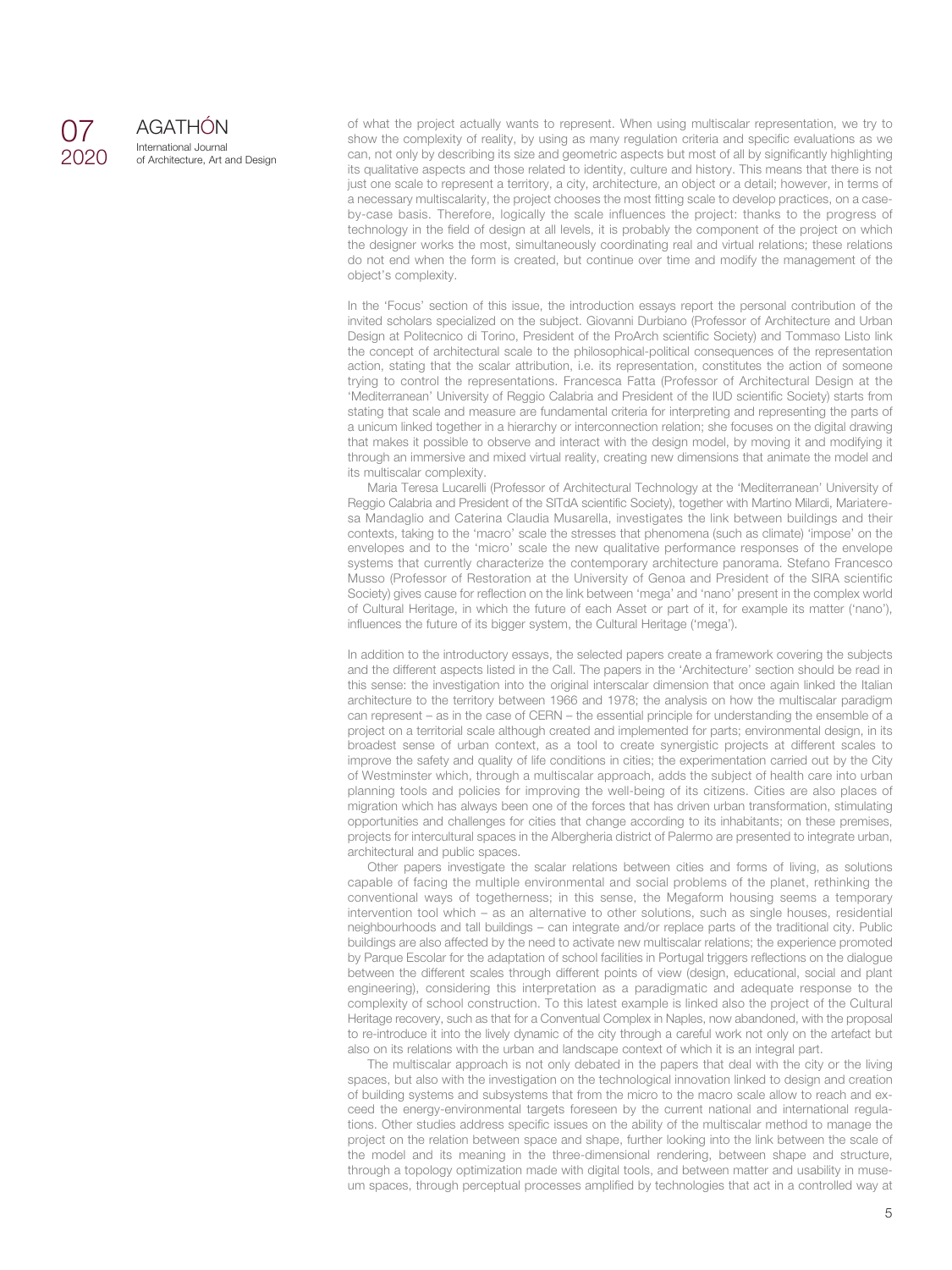## 07 2020

AGATHÓN International Journal of Architecture, Art and Design of what the project actually wants to represent. When using multiscalar representation, we try to show the complexity of reality, by using as many regulation criteria and specific evaluations as we can, not only by describing its size and geometric aspects but most of all by significantly highlighting its qualitative aspects and those related to identity, culture and history. This means that there is not just one scale to represent a territory, a city, architecture, an object or a detail; however, in terms of a necessary multiscalarity, the project chooses the most fitting scale to develop practices, on a caseby-case basis. Therefore, logically the scale influences the project: thanks to the progress of technology in the field of design at all levels, it is probably the component of the project on which the designer works the most, simultaneously coordinating real and virtual relations; these relations do not end when the form is created, but continue over time and modify the management of the object's complexity.

In the 'Focus' section of this issue, the introduction essays report the personal contribution of the invited scholars specialized on the subject. Giovanni Durbiano (Professor of Architecture and Urban Design at Politecnico di Torino, President of the ProArch scientific Society) and Tommaso Listo link the concept of architectural scale to the philosophical-political consequences of the representation action, stating that the scalar attribution, i.e. its representation, constitutes the action of someone trying to control the representations. Francesca Fatta (Professor of Architectural Design at the 'Mediterranean' University of Reggio Calabria and President of the IUD scientific Society) starts from stating that scale and measure are fundamental criteria for interpreting and representing the parts of a unicum linked together in a hierarchy or interconnection relation; she focuses on the digital drawing that makes it possible to observe and interact with the design model, by moving it and modifying it through an immersive and mixed virtual reality, creating new dimensions that animate the model and its multiscalar complexity.

Maria Teresa Lucarelli (Professor of Architectural Technology at the 'Mediterranean' University of Reggio Calabria and President of the SITdA scientific Society), together with Martino Milardi, Mariateresa Mandaglio and Caterina Claudia Musarella, investigates the link between buildings and their contexts, taking to the 'macro' scale the stresses that phenomena (such as climate) 'impose' on the envelopes and to the 'micro' scale the new qualitative performance responses of the envelope systems that currently characterize the contemporary architecture panorama. Stefano Francesco Musso (Professor of Restoration at the University of Genoa and President of the SIRA scientific Society) gives cause for reflection on the link between 'mega' and 'nano' present in the complex world of Cultural Heritage, in which the future of each Asset or part of it, for example its matter ('nano'), influences the future of its bigger system, the Cultural Heritage ('mega').

In addition to the introductory essays, the selected papers create a framework covering the subjects and the different aspects listed in the Call. The papers in the 'Architecture' section should be read in this sense: the investigation into the original interscalar dimension that once again linked the Italian architecture to the territory between 1966 and 1978; the analysis on how the multiscalar paradigm can represent – as in the case of CERN – the essential principle for understanding the ensemble of a project on a territorial scale although created and implemented for parts; environmental design, in its broadest sense of urban context, as a tool to create synergistic projects at different scales to improve the safety and quality of life conditions in cities; the experimentation carried out by the City of Westminster which, through a multiscalar approach, adds the subject of health care into urban planning tools and policies for improving the well-being of its citizens. Cities are also places of migration which has always been one of the forces that has driven urban transformation, stimulating opportunities and challenges for cities that change according to its inhabitants; on these premises, projects for intercultural spaces in the Albergheria district of Palermo are presented to integrate urban, architectural and public spaces.

Other papers investigate the scalar relations between cities and forms of living, as solutions capable of facing the multiple environmental and social problems of the planet, rethinking the conventional ways of togetherness; in this sense, the Megaform housing seems a temporary intervention tool which – as an alternative to other solutions, such as single houses, residential neighbourhoods and tall buildings – can integrate and/or replace parts of the traditional city. Public buildings are also affected by the need to activate new multiscalar relations; the experience promoted by Parque Escolar for the adaptation of school facilities in Portugal triggers reflections on the dialogue between the different scales through different points of view (design, educational, social and plant engineering), considering this interpretation as a paradigmatic and adequate response to the complexity of school construction. To this latest example is linked also the project of the Cultural Heritage recovery, such as that for a Conventual Complex in Naples, now abandoned, with the proposal to re-introduce it into the lively dynamic of the city through a careful work not only on the artefact but also on its relations with the urban and landscape context of which it is an integral part.

The multiscalar approach is not only debated in the papers that deal with the city or the living spaces, but also with the investigation on the technological innovation linked to design and creation of building systems and subsystems that from the micro to the macro scale allow to reach and exceed the energy-environmental targets foreseen by the current national and international regulations. Other studies address specific issues on the ability of the multiscalar method to manage the project on the relation between space and shape, further looking into the link between the scale of the model and its meaning in the three-dimensional rendering, between shape and structure, through a topology optimization made with digital tools, and between matter and usability in museum spaces, through perceptual processes amplified by technologies that act in a controlled way at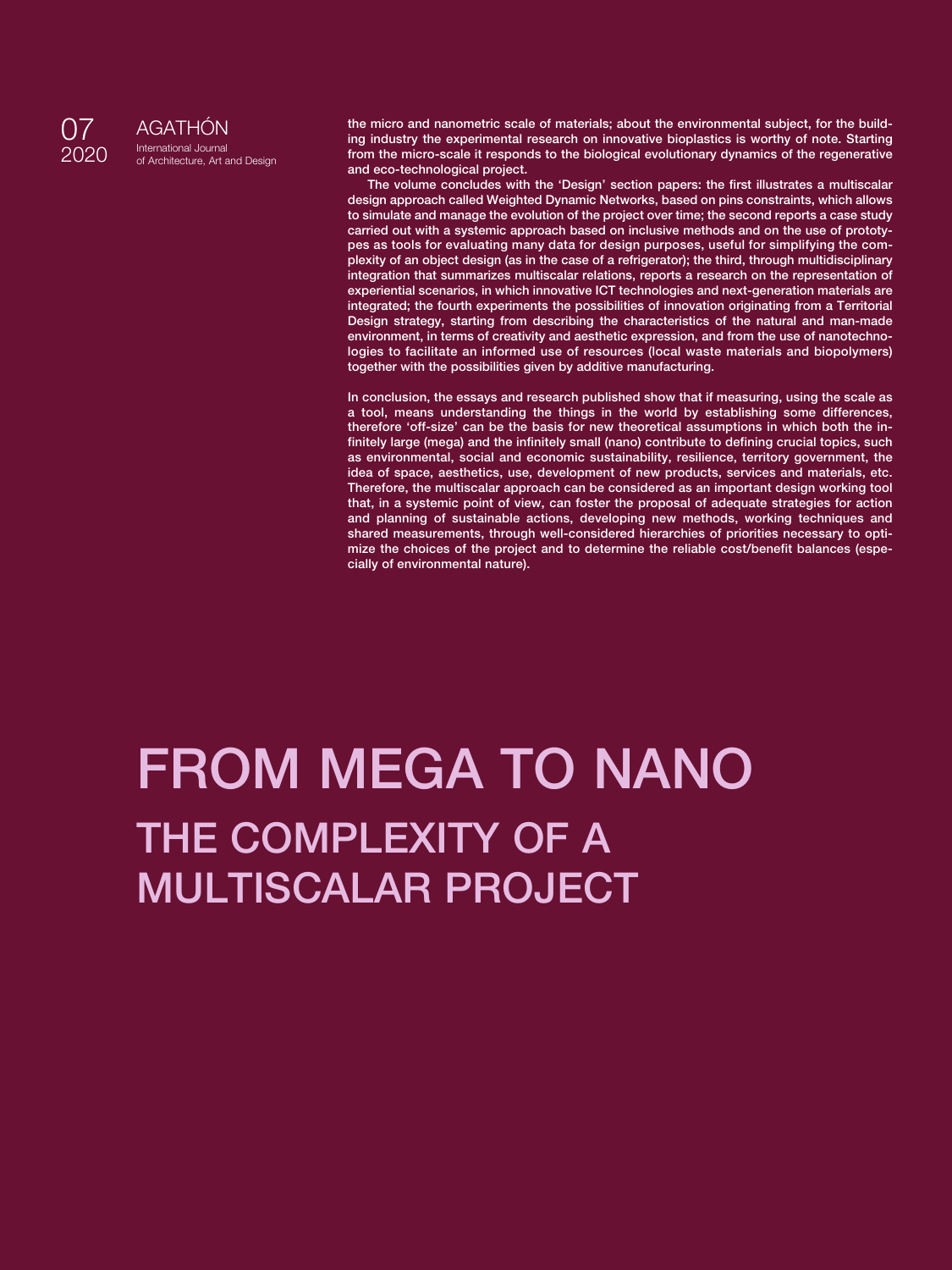

AGATHÓN International Journal of Architecture, Art and Design **the micro and nanometric scale of materials; about the environmental subject, for the building industry the experimental research on innovative bioplastics is worthy of note. Starting from the micro-scale it responds to the biological evolutionary dynamics of the regenerative and eco-technological project.**

**The volume concludes with the 'Design' section papers: the first illustrates a multiscalar design approach called Weighted Dynamic Networks, based on pins constraints, which allows to simulate and manage the evolution of the project over time; the second reports a case study carried out with a systemic approach based on inclusive methods and on the use of prototypes as tools for evaluating many data for design purposes, useful for simplifying the complexity of an object design (as in the case of a refrigerator); the third, through multidisciplinary integration that summarizes multiscalar relations, reports a research on the representation of experiential scenarios, in which innovative ICT technologies and next-generation materials are integrated; the fourth experiments the possibilities of innovation originating from a Territorial Design strategy, starting from describing the characteristics of the natural and man-made environment, in terms of creativity and aesthetic expression, and from the use of nanotechnologies to facilitate an informed use of resources (local waste materials and biopolymers) together with the possibilities given by additive manufacturing.**

**In conclusion, the essays and research published show that if measuring, using the scale as a tool, means understanding the things in the world by establishing some differences, therefore 'off-size' can be the basis for new theoretical assumptions in which both the infinitely large (mega) and the infinitely small (nano) contribute to defining crucial topics, such as environmental, social and economic sustainability, resilience, territory government, the idea of space, aesthetics, use, development of new products, services and materials, etc. Therefore, the multiscalar approach can be considered as an important design working tool that, in a systemic point of view, can foster the proposal of adequate strategies for action and planning of sustainable actions, developing new methods, working techniques and shared measurements, through well-considered hierarchies of priorities necessary to optimize the choices of the project and to determine the reliable cost/benefit balances (especially of environmental nature).**

# **FROM MEGA TO NANO THE COMPLEXITY OF A MULTISCALAR PROJECT**